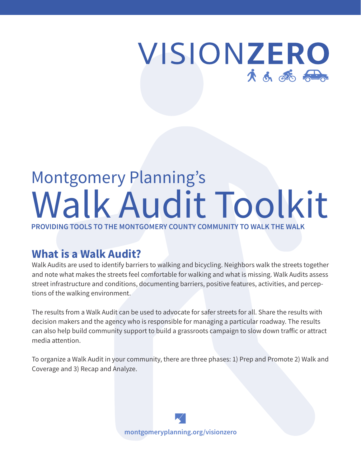# VISIONZERO 大小路经

# Montgomery Planning's Walk Audit Toolkit

**PROVIDING TOOLS TO THE MONTGOMERY COUNTY COMMUNITY TO WALK THE WALK**

# **What is a Walk Audit?**

Walk Audits are used to identify barriers to walking and bicycling. Neighbors walk the streets together and note what makes the streets feel comfortable for walking and what is missing. Walk Audits assess street infrastructure and conditions, documenting barriers, positive features, activities, and perceptions of the walking environment.

The results from a Walk Audit can be used to advocate for safer streets for all. Share the results with decision makers and the agency who is responsible for managing a particular roadway. The results can also help build community support to build a grassroots campaign to slow down traffic or attract media attention.

To organize a Walk Audit in your community, there are three phases: 1) Prep and Promote 2) Walk and Coverage and 3) Recap and Analyze.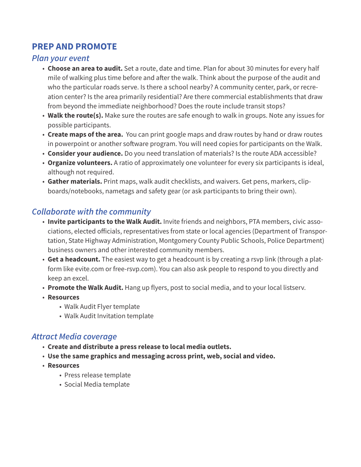## **PREP AND PROMOTE**

#### *Plan your event*

- **Choose an area to audit.** Set a route, date and time. Plan for about 30 minutes for every half mile of walking plus time before and after the walk. Think about the purpose of the audit and who the particular roads serve. Is there a school nearby? A community center, park, or recreation center? Is the area primarily residential? Are there commercial establishments that draw from beyond the immediate neighborhood? Does the route include transit stops?
- **Walk the route(s).** Make sure the routes are safe enough to walk in groups. Note any issues for possible participants.
- **Create maps of the area.** You can print google maps and draw routes by hand or draw routes in powerpoint or another software program. You will need copies for participants on the Walk.
- **Consider your audience.** Do you need translation of materials? Is the route ADA accessible?
- **Organize volunteers.** A ratio of approximately one volunteer for every six participants is ideal, although not required.
- **Gather materials.** Print maps, walk audit checklists, and waivers. Get pens, markers, clipboards/notebooks, nametags and safety gear (or ask participants to bring their own).

### *Collaborate with the community*

- **Invite participants to the Walk Audit.** Invite friends and neighbors, PTA members, civic associations, elected officials, representatives from state or local agencies (Department of Transportation, State Highway Administration, Montgomery County Public Schools, Police Department) business owners and other interested community members.
- **Get a headcount.** The easiest way to get a headcount is by creating a rsvp link (through a platform like evite.com or free-rsvp.com). You can also ask people to respond to you directly and keep an excel.
- **Promote the Walk Audit.** Hang up flyers, post to social media, and to your local listserv.
- **Resources**
	- Walk Audit Flyer template
	- Walk Audit Invitation template

#### *Attract Media coverage*

- **Create and distribute a press release to local media outlets.**
- **Use the same graphics and messaging across print, web, social and video.**
- **Resources**
	- Press release template
	- Social Media template